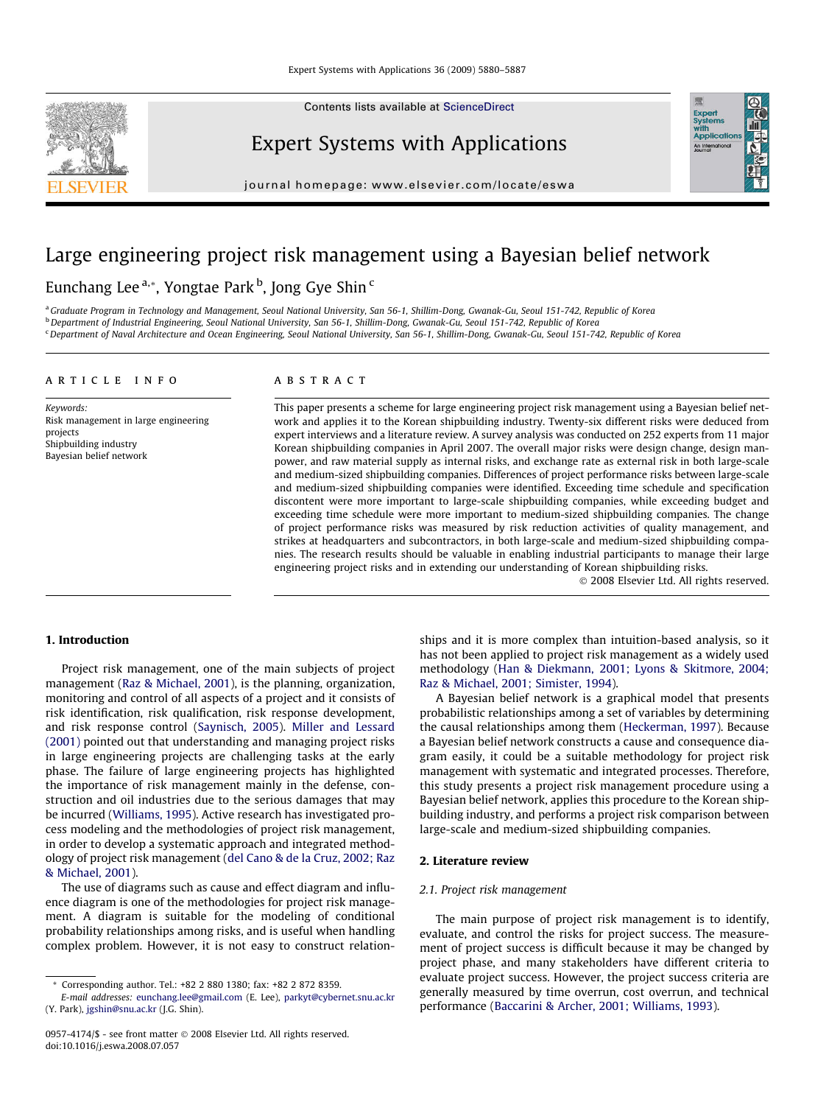Contents lists available at [ScienceDirect](http://www.sciencedirect.com/science/journal/09574174)



Expert Systems with Applications

journal homepage: [www.elsevier.com/locate/eswa](http://www.elsevier.com/locate/eswa)

## Large engineering project risk management using a Bayesian belief network

### Eunchang Lee <sup>a,</sup>\*, Yongtae Park <sup>b</sup>, Jong Gye Shin <sup>c</sup>

a Graduate Program in Technology and Management, Seoul National University, San 56-1, Shillim-Dong, Gwanak-Gu, Seoul 151-742, Republic of Korea bDepartment of Industrial Engineering, Seoul National University, San 56-1, Shillim-Dong, Gwanak-Gu, Seoul 151-742, Republic of Korea <sup>c</sup> Department of Naval Architecture and Ocean Engineering, Seoul National University, San 56-1, Shillim-Dong, Gwanak-Gu, Seoul 151-742, Republic of Korea

#### article info

Keywords: Risk management in large engineering projects Shipbuilding industry Bayesian belief network

#### **ABSTRACT**

This paper presents a scheme for large engineering project risk management using a Bayesian belief network and applies it to the Korean shipbuilding industry. Twenty-six different risks were deduced from expert interviews and a literature review. A survey analysis was conducted on 252 experts from 11 major Korean shipbuilding companies in April 2007. The overall major risks were design change, design manpower, and raw material supply as internal risks, and exchange rate as external risk in both large-scale and medium-sized shipbuilding companies. Differences of project performance risks between large-scale and medium-sized shipbuilding companies were identified. Exceeding time schedule and specification discontent were more important to large-scale shipbuilding companies, while exceeding budget and exceeding time schedule were more important to medium-sized shipbuilding companies. The change of project performance risks was measured by risk reduction activities of quality management, and strikes at headquarters and subcontractors, in both large-scale and medium-sized shipbuilding companies. The research results should be valuable in enabling industrial participants to manage their large engineering project risks and in extending our understanding of Korean shipbuilding risks.

- 2008 Elsevier Ltd. All rights reserved.

Expert<br>Syster

#### 1. Introduction

Project risk management, one of the main subjects of project management ([Raz & Michael, 2001\)](#page--1-0), is the planning, organization, monitoring and control of all aspects of a project and it consists of risk identification, risk qualification, risk response development, and risk response control [\(Saynisch, 2005\)](#page--1-0). [Miller and Lessard](#page--1-0) [\(2001\)](#page--1-0) pointed out that understanding and managing project risks in large engineering projects are challenging tasks at the early phase. The failure of large engineering projects has highlighted the importance of risk management mainly in the defense, construction and oil industries due to the serious damages that may be incurred [\(Williams, 1995\)](#page--1-0). Active research has investigated process modeling and the methodologies of project risk management, in order to develop a systematic approach and integrated methodology of project risk management ([del Cano & de la Cruz, 2002; Raz](#page--1-0) [& Michael, 2001](#page--1-0)).

The use of diagrams such as cause and effect diagram and influence diagram is one of the methodologies for project risk management. A diagram is suitable for the modeling of conditional probability relationships among risks, and is useful when handling complex problem. However, it is not easy to construct relationships and it is more complex than intuition-based analysis, so it has not been applied to project risk management as a widely used methodology [\(Han & Diekmann, 2001; Lyons & Skitmore, 2004;](#page--1-0) [Raz & Michael, 2001; Simister, 1994\)](#page--1-0).

A Bayesian belief network is a graphical model that presents probabilistic relationships among a set of variables by determining the causal relationships among them [\(Heckerman, 1997\)](#page--1-0). Because a Bayesian belief network constructs a cause and consequence diagram easily, it could be a suitable methodology for project risk management with systematic and integrated processes. Therefore, this study presents a project risk management procedure using a Bayesian belief network, applies this procedure to the Korean shipbuilding industry, and performs a project risk comparison between large-scale and medium-sized shipbuilding companies.

#### 2. Literature review

#### 2.1. Project risk management

The main purpose of project risk management is to identify, evaluate, and control the risks for project success. The measurement of project success is difficult because it may be changed by project phase, and many stakeholders have different criteria to evaluate project success. However, the project success criteria are generally measured by time overrun, cost overrun, and technical performance [\(Baccarini & Archer, 2001; Williams, 1993](#page--1-0)).

<sup>\*</sup> Corresponding author. Tel.: +82 2 880 1380; fax: +82 2 872 8359.

E-mail addresses: [eunchang.lee@gmail.com](mailto:eunchang.lee@gmail.com) (E. Lee), [parkyt@cybernet.snu.ac.kr](mailto:parkyt@cybernet.snu.ac.kr) (Y. Park), [jgshin@snu.ac.kr](mailto:jgshin@snu.ac.kr) (J.G. Shin).

<sup>0957-4174/\$ -</sup> see front matter © 2008 Elsevier Ltd. All rights reserved. doi:10.1016/j.eswa.2008.07.057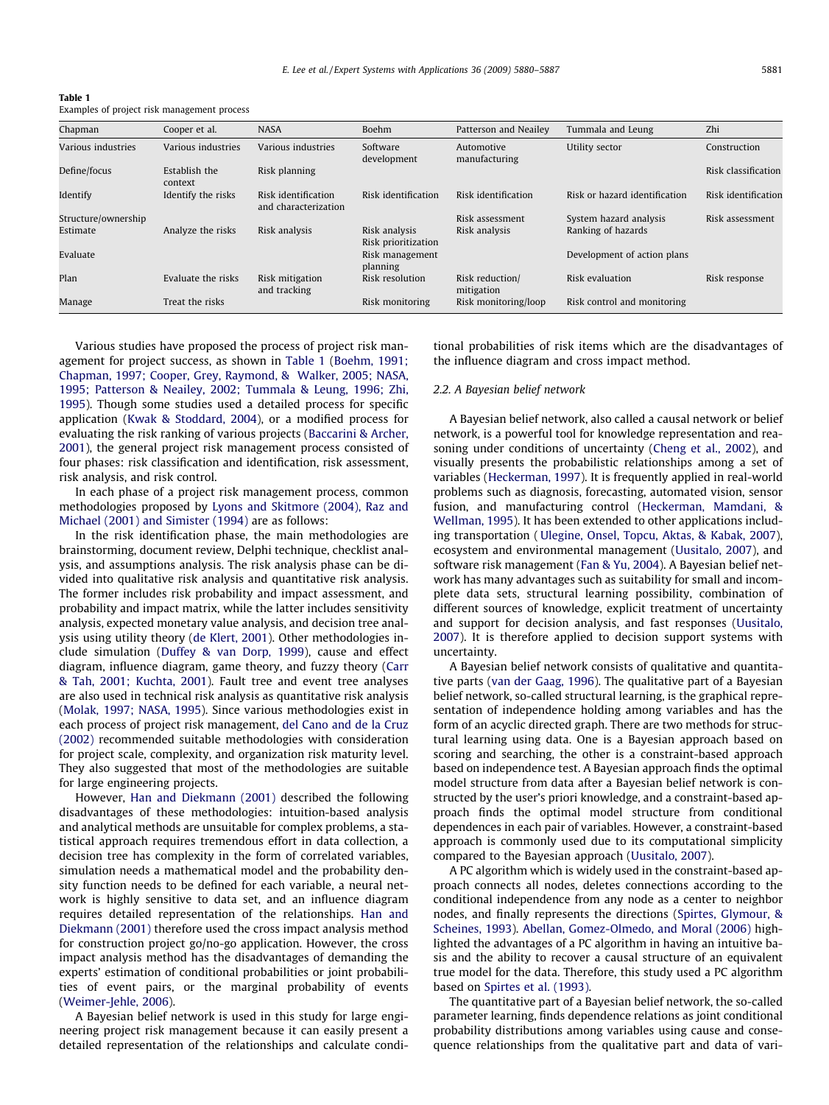| <b>Table 1</b>                              |
|---------------------------------------------|
| Examples of project risk management process |

| Chapman             | Cooper et al.            | <b>NASA</b>                                 | Boehm                                | Patterson and Neailev         | Tummala and Leung             | Zhi                 |
|---------------------|--------------------------|---------------------------------------------|--------------------------------------|-------------------------------|-------------------------------|---------------------|
| Various industries  | Various industries       | Various industries                          | Software<br>development              | Automotive<br>manufacturing   | Utility sector                | Construction        |
| Define/focus        | Establish the<br>context | Risk planning                               |                                      |                               |                               | Risk classification |
| Identify            | Identify the risks       | Risk identification<br>and characterization | Risk identification                  | Risk identification           | Risk or hazard identification | Risk identification |
| Structure/ownership |                          |                                             |                                      | Risk assessment               | System hazard analysis        | Risk assessment     |
| Estimate            | Analyze the risks        | Risk analysis                               | Risk analysis<br>Risk prioritization | Risk analysis                 | Ranking of hazards            |                     |
| Evaluate            |                          |                                             | Risk management<br>planning          |                               | Development of action plans   |                     |
| Plan                | Evaluate the risks       | Risk mitigation<br>and tracking             | Risk resolution                      | Risk reduction/<br>mitigation | Risk evaluation               | Risk response       |
| Manage              | Treat the risks          |                                             | Risk monitoring                      | Risk monitoring/loop          | Risk control and monitoring   |                     |

Various studies have proposed the process of project risk management for project success, as shown in Table 1 [\(Boehm, 1991;](#page--1-0) [Chapman, 1997; Cooper, Grey, Raymond, & Walker, 2005; NASA,](#page--1-0) [1995; Patterson & Neailey, 2002; Tummala & Leung, 1996; Zhi,](#page--1-0) [1995\)](#page--1-0). Though some studies used a detailed process for specific application ([Kwak & Stoddard, 2004\)](#page--1-0), or a modified process for evaluating the risk ranking of various projects ([Baccarini & Archer,](#page--1-0) [2001](#page--1-0)), the general project risk management process consisted of four phases: risk classification and identification, risk assessment, risk analysis, and risk control.

In each phase of a project risk management process, common methodologies proposed by [Lyons and Skitmore \(2004\), Raz and](#page--1-0) [Michael \(2001\) and Simister \(1994\)](#page--1-0) are as follows:

In the risk identification phase, the main methodologies are brainstorming, document review, Delphi technique, checklist analysis, and assumptions analysis. The risk analysis phase can be divided into qualitative risk analysis and quantitative risk analysis. The former includes risk probability and impact assessment, and probability and impact matrix, while the latter includes sensitivity analysis, expected monetary value analysis, and decision tree analysis using utility theory ([de Klert, 2001\)](#page--1-0). Other methodologies include simulation ([Duffey & van Dorp, 1999\)](#page--1-0), cause and effect diagram, influence diagram, game theory, and fuzzy theory ([Carr](#page--1-0) [& Tah, 2001; Kuchta, 2001\)](#page--1-0). Fault tree and event tree analyses are also used in technical risk analysis as quantitative risk analysis ([Molak, 1997; NASA, 1995\)](#page--1-0). Since various methodologies exist in each process of project risk management, [del Cano and de la Cruz](#page--1-0) [\(2002\)](#page--1-0) recommended suitable methodologies with consideration for project scale, complexity, and organization risk maturity level. They also suggested that most of the methodologies are suitable for large engineering projects.

However, [Han and Diekmann \(2001\)](#page--1-0) described the following disadvantages of these methodologies: intuition-based analysis and analytical methods are unsuitable for complex problems, a statistical approach requires tremendous effort in data collection, a decision tree has complexity in the form of correlated variables, simulation needs a mathematical model and the probability density function needs to be defined for each variable, a neural network is highly sensitive to data set, and an influence diagram requires detailed representation of the relationships. [Han and](#page--1-0) [Diekmann \(2001\)](#page--1-0) therefore used the cross impact analysis method for construction project go/no-go application. However, the cross impact analysis method has the disadvantages of demanding the experts' estimation of conditional probabilities or joint probabilities of event pairs, or the marginal probability of events ([Weimer-Jehle, 2006](#page--1-0)).

A Bayesian belief network is used in this study for large engineering project risk management because it can easily present a detailed representation of the relationships and calculate conditional probabilities of risk items which are the disadvantages of the influence diagram and cross impact method.

#### 2.2. A Bayesian belief network

A Bayesian belief network, also called a causal network or belief network, is a powerful tool for knowledge representation and reasoning under conditions of uncertainty ([Cheng et al., 2002](#page--1-0)), and visually presents the probabilistic relationships among a set of variables ([Heckerman, 1997](#page--1-0)). It is frequently applied in real-world problems such as diagnosis, forecasting, automated vision, sensor fusion, and manufacturing control [\(Heckerman, Mamdani, &](#page--1-0) [Wellman, 1995\)](#page--1-0). It has been extended to other applications including transportation ( [Ulegine, Onsel, Topcu, Aktas, & Kabak, 2007\)](#page--1-0), ecosystem and environmental management [\(Uusitalo, 2007\)](#page--1-0), and software risk management [\(Fan & Yu, 2004\)](#page--1-0). A Bayesian belief network has many advantages such as suitability for small and incomplete data sets, structural learning possibility, combination of different sources of knowledge, explicit treatment of uncertainty and support for decision analysis, and fast responses [\(Uusitalo,](#page--1-0) [2007](#page--1-0)). It is therefore applied to decision support systems with uncertainty.

A Bayesian belief network consists of qualitative and quantitative parts [\(van der Gaag, 1996](#page--1-0)). The qualitative part of a Bayesian belief network, so-called structural learning, is the graphical representation of independence holding among variables and has the form of an acyclic directed graph. There are two methods for structural learning using data. One is a Bayesian approach based on scoring and searching, the other is a constraint-based approach based on independence test. A Bayesian approach finds the optimal model structure from data after a Bayesian belief network is constructed by the user's priori knowledge, and a constraint-based approach finds the optimal model structure from conditional dependences in each pair of variables. However, a constraint-based approach is commonly used due to its computational simplicity compared to the Bayesian approach ([Uusitalo, 2007](#page--1-0)).

A PC algorithm which is widely used in the constraint-based approach connects all nodes, deletes connections according to the conditional independence from any node as a center to neighbor nodes, and finally represents the directions ([Spirtes, Glymour, &](#page--1-0) [Scheines, 1993\)](#page--1-0). [Abellan, Gomez-Olmedo, and Moral \(2006\)](#page--1-0) highlighted the advantages of a PC algorithm in having an intuitive basis and the ability to recover a causal structure of an equivalent true model for the data. Therefore, this study used a PC algorithm based on [Spirtes et al. \(1993\)](#page--1-0).

The quantitative part of a Bayesian belief network, the so-called parameter learning, finds dependence relations as joint conditional probability distributions among variables using cause and consequence relationships from the qualitative part and data of vari-